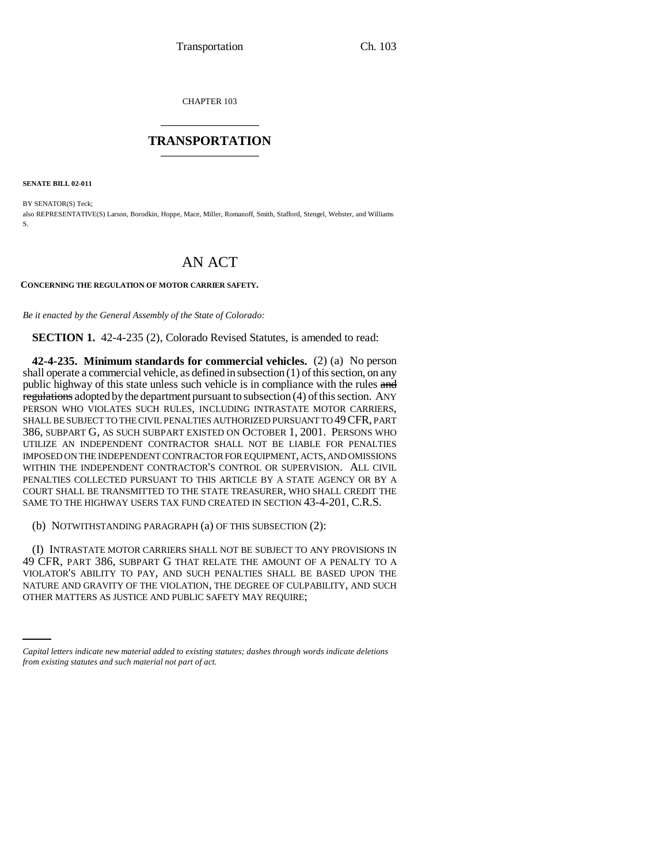CHAPTER 103 \_\_\_\_\_\_\_\_\_\_\_\_\_\_\_

# **TRANSPORTATION** \_\_\_\_\_\_\_\_\_\_\_\_\_\_\_

**SENATE BILL 02-011**

BY SENATOR(S) Teck; also REPRESENTATIVE(S) Larson, Borodkin, Hoppe, Mace, Miller, Romanoff, Smith, Stafford, Stengel, Webster, and Williams S.

# AN ACT

### **CONCERNING THE REGULATION OF MOTOR CARRIER SAFETY.**

*Be it enacted by the General Assembly of the State of Colorado:*

**SECTION 1.** 42-4-235 (2), Colorado Revised Statutes, is amended to read:

**42-4-235. Minimum standards for commercial vehicles.** (2) (a) No person shall operate a commercial vehicle, as defined in subsection (1) of this section, on any public highway of this state unless such vehicle is in compliance with the rules and regulations adopted by the department pursuant to subsection (4) of this section. ANY PERSON WHO VIOLATES SUCH RULES, INCLUDING INTRASTATE MOTOR CARRIERS, SHALL BE SUBJECT TO THE CIVIL PENALTIES AUTHORIZED PURSUANT TO 49 CFR, PART 386, SUBPART G, AS SUCH SUBPART EXISTED ON OCTOBER 1, 2001. PERSONS WHO UTILIZE AN INDEPENDENT CONTRACTOR SHALL NOT BE LIABLE FOR PENALTIES IMPOSED ON THE INDEPENDENT CONTRACTOR FOR EQUIPMENT, ACTS, AND OMISSIONS WITHIN THE INDEPENDENT CONTRACTOR'S CONTROL OR SUPERVISION. ALL CIVIL PENALTIES COLLECTED PURSUANT TO THIS ARTICLE BY A STATE AGENCY OR BY A COURT SHALL BE TRANSMITTED TO THE STATE TREASURER, WHO SHALL CREDIT THE SAME TO THE HIGHWAY USERS TAX FUND CREATED IN SECTION 43-4-201, C.R.S.

(b) NOTWITHSTANDING PARAGRAPH (a) OF THIS SUBSECTION (2):

NATURE AND GRAVITY OF THE VIOLATION, THE DEGREE OF CULPABILITY, AND SUCH (I) INTRASTATE MOTOR CARRIERS SHALL NOT BE SUBJECT TO ANY PROVISIONS IN 49 CFR, PART 386, SUBPART G THAT RELATE THE AMOUNT OF A PENALTY TO A VIOLATOR'S ABILITY TO PAY, AND SUCH PENALTIES SHALL BE BASED UPON THE OTHER MATTERS AS JUSTICE AND PUBLIC SAFETY MAY REQUIRE;

*Capital letters indicate new material added to existing statutes; dashes through words indicate deletions from existing statutes and such material not part of act.*